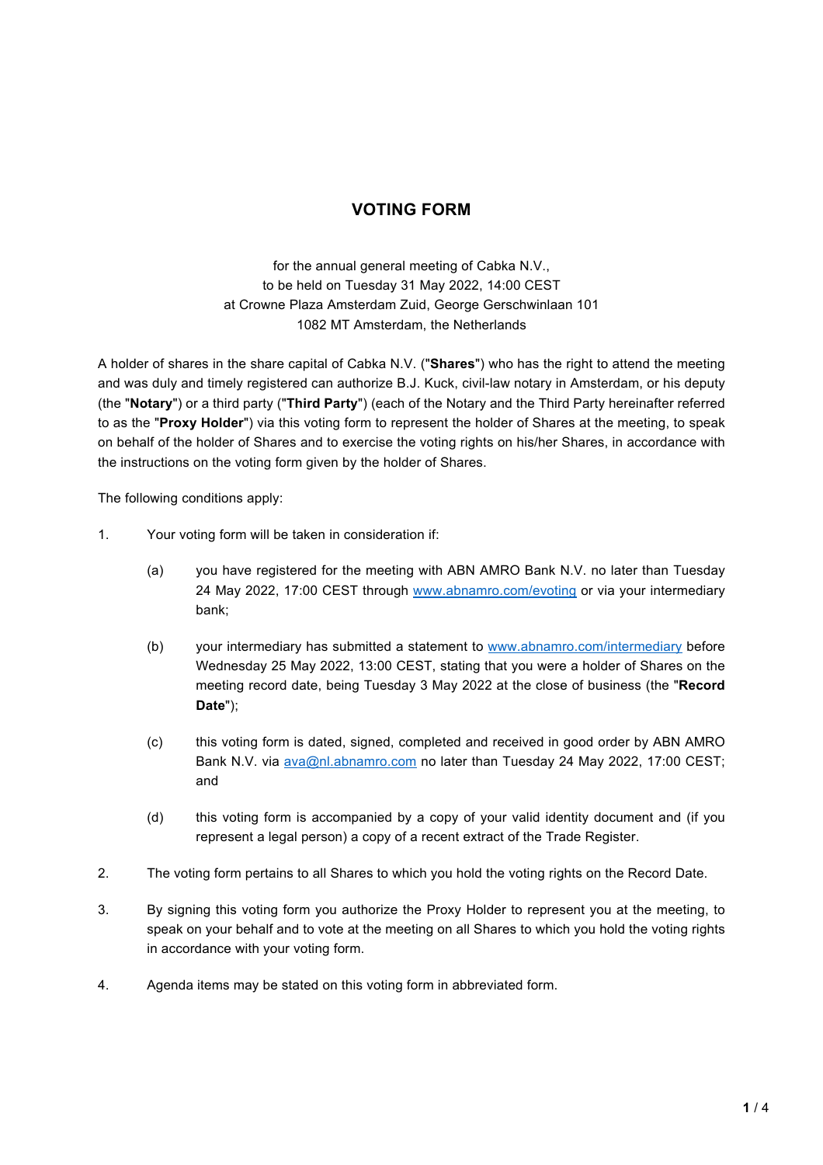## **VOTING FORM**

for the annual general meeting of Cabka N.V., to be held on Tuesday 31 May 2022, 14:00 CEST at Crowne Plaza Amsterdam Zuid, George Gerschwinlaan 101 1082 MT Amsterdam, the Netherlands

A holder of shares in the share capital of Cabka N.V. ("**Shares**") who has the right to attend the meeting and was duly and timely registered can authorize B.J. Kuck, civil-law notary in Amsterdam, or his deputy (the "**Notary**") or a third party ("**Third Party**") (each of the Notary and the Third Party hereinafter referred to as the "**Proxy Holder**") via this voting form to represent the holder of Shares at the meeting, to speak on behalf of the holder of Shares and to exercise the voting rights on his/her Shares, in accordance with the instructions on the voting form given by the holder of Shares.

The following conditions apply:

- 1. Your voting form will be taken in consideration if:
	- (a) you have registered for the meeting with ABN AMRO Bank N.V. no later than Tuesday 24 May 2022, 17:00 CEST through www.abnamro.com/evoting or via your intermediary bank;
	- (b) your intermediary has submitted a statement to www.abnamro.com/intermediary before Wednesday 25 May 2022, 13:00 CEST, stating that you were a holder of Shares on the meeting record date, being Tuesday 3 May 2022 at the close of business (the "**Record Date**");
	- (c) this voting form is dated, signed, completed and received in good order by ABN AMRO Bank N.V. via ava@nl.abnamro.com no later than Tuesday 24 May 2022, 17:00 CEST; and
	- (d) this voting form is accompanied by a copy of your valid identity document and (if you represent a legal person) a copy of a recent extract of the Trade Register.
- 2. The voting form pertains to all Shares to which you hold the voting rights on the Record Date.
- 3. By signing this voting form you authorize the Proxy Holder to represent you at the meeting, to speak on your behalf and to vote at the meeting on all Shares to which you hold the voting rights in accordance with your voting form.
- 4. Agenda items may be stated on this voting form in abbreviated form.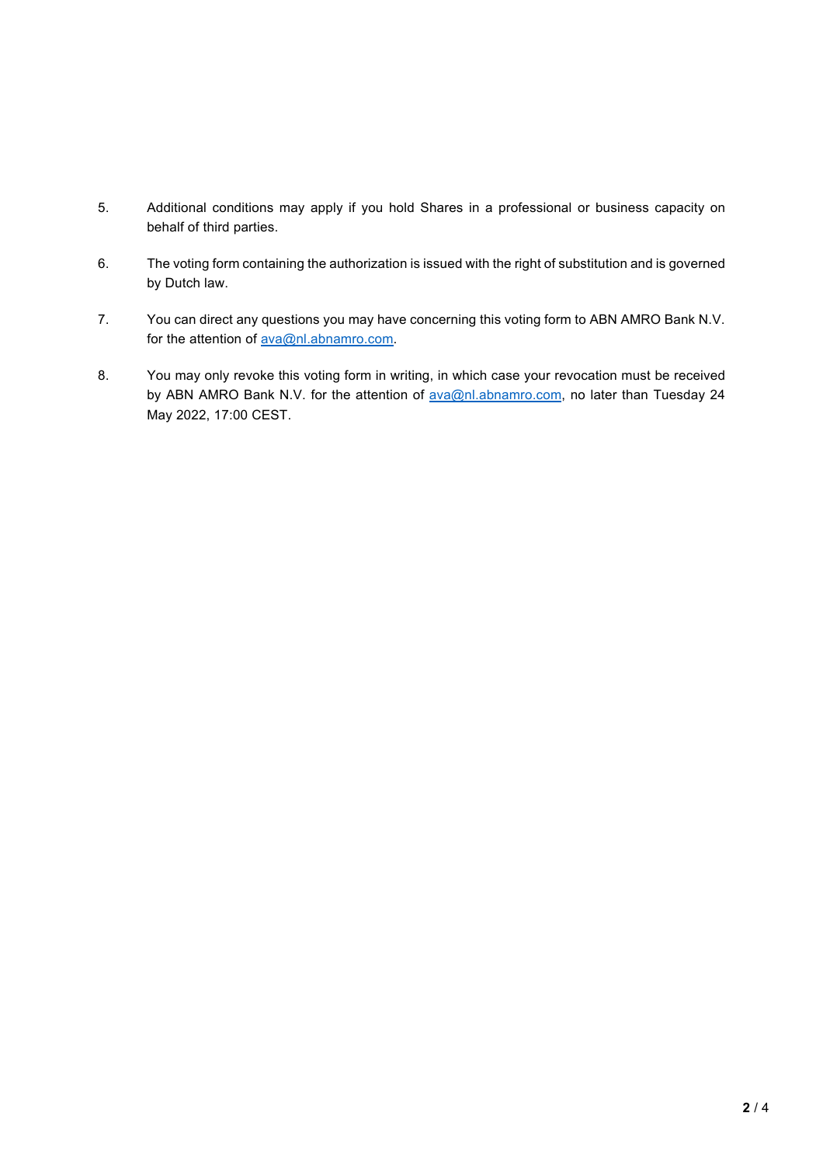- 5. Additional conditions may apply if you hold Shares in a professional or business capacity on behalf of third parties.
- 6. The voting form containing the authorization is issued with the right of substitution and is governed by Dutch law.
- 7. You can direct any questions you may have concerning this voting form to ABN AMRO Bank N.V. for the attention of **ava@nl.abnamro.com**.
- 8. You may only revoke this voting form in writing, in which case your revocation must be received by ABN AMRO Bank N.V. for the attention of ava@nl.abnamro.com, no later than Tuesday 24 May 2022, 17:00 CEST.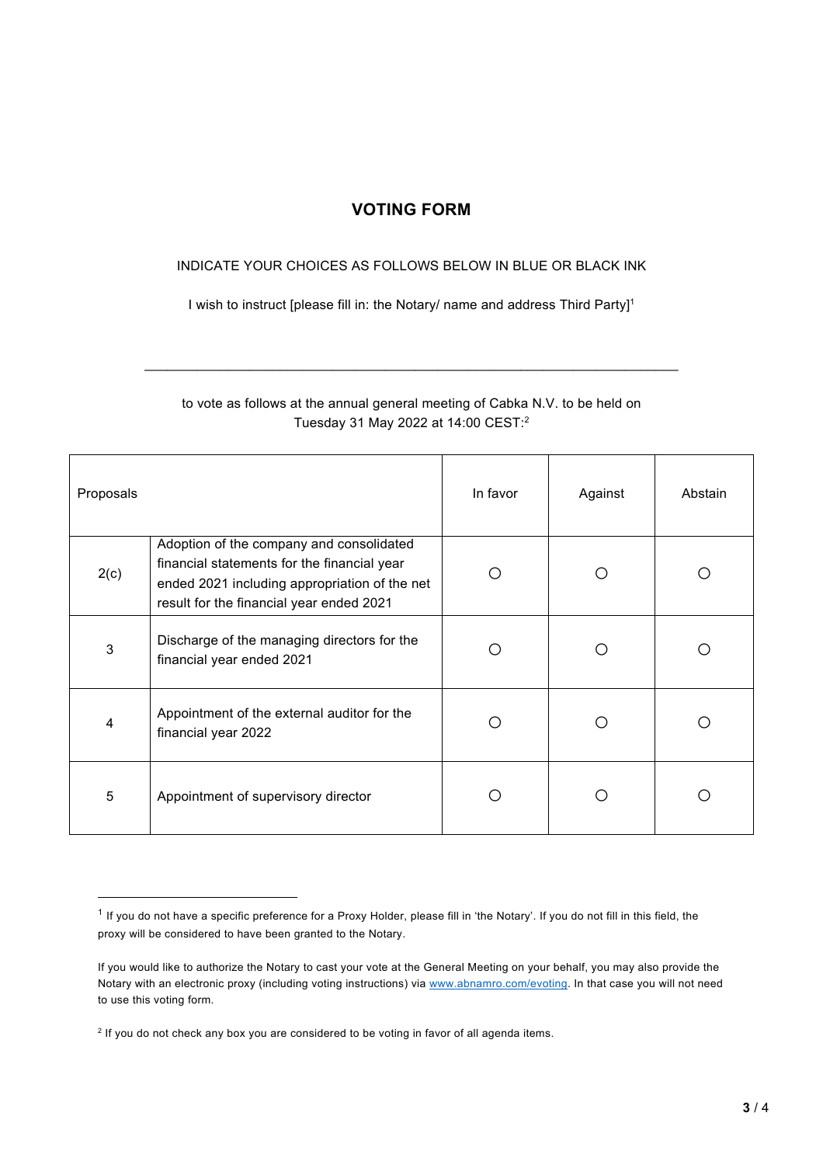## **VOTING FORM**

## INDICATE YOUR CHOICES AS FOLLOWS BELOW IN BLUE OR BLACK INK

I wish to instruct [please fill in: the Notary/ name and address Third Party]<sup>1</sup>

## to vote as follows at the annual general meeting of Cabka N.V. to be held on Tuesday 31 May 2022 at 14:00 CEST: 2

 $\mathcal{L}_\text{max}$  , and the set of the set of the set of the set of the set of the set of the set of the set of the set of the set of the set of the set of the set of the set of the set of the set of the set of the set of the

| Proposals |                                                                                                                                                                                      | In favor | Against | Abstain |
|-----------|--------------------------------------------------------------------------------------------------------------------------------------------------------------------------------------|----------|---------|---------|
| 2(c)      | Adoption of the company and consolidated<br>financial statements for the financial year<br>ended 2021 including appropriation of the net<br>result for the financial year ended 2021 | ∩        | ( )     |         |
| 3         | Discharge of the managing directors for the<br>financial year ended 2021                                                                                                             | ◯        | $\Box$  |         |
| 4         | Appointment of the external auditor for the<br>financial year 2022                                                                                                                   | ◯        | Ω       |         |
| 5         | Appointment of supervisory director                                                                                                                                                  |          |         |         |

 $1$  If you do not have a specific preference for a Proxy Holder, please fill in 'the Notary'. If you do not fill in this field, the proxy will be considered to have been granted to the Notary.

If you would like to authorize the Notary to cast your vote at the General Meeting on your behalf, you may also provide the Notary with an electronic proxy (including voting instructions) via www.abnamro.com/evoting. In that case you will not need to use this voting form.

 $2$  If you do not check any box you are considered to be voting in favor of all agenda items.